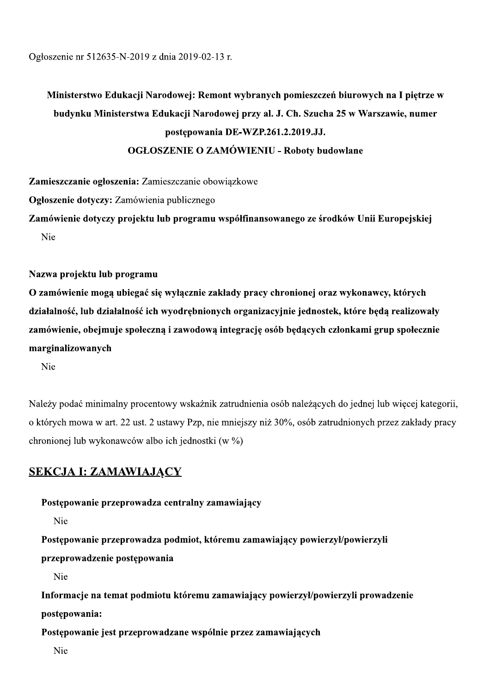Ogłoszenie nr 512635-N-2019 z dnia 2019-02-13 r.

# Ministerstwo Edukacji Narodowej: Remont wybranych pomieszczeń biurowych na I piętrze w budynku Ministerstwa Edukacji Narodowej przy al. J. Ch. Szucha 25 w Warszawie, numer postępowania DE-19 z dnia 2019-02-13 r.<br>
i Narodowej: Remont wybranych pomieszczeń<br>
va Edukacji Narodowej przy al. J. Ch. Szucha<br>
postępowania DE-WZP.261.2.2019.JJ.<br>
ELOSZENIE O ZAMÓWIENIU - Roboty budo<br>
Zamieszczanie obowiązkowe<br>
wienia OGŁOSZENIE O ZAMOWIENIU - Roboty budowiane 2019-02-13 r.<br>wej: Remont wybranych pomieszczeń biurowyc<br>cji Narodowej przy al. J. Ch. Szucha 25 w War<br>tępowania DE-WZP.261.2.2019.JJ.<br>NIE O ZAMÓWIENIU - Roboty budowlane<br>zanie obowiązkowe<br>plicznego<br>rogramu współfinansowan

Zamieszczanie ogłoszenia: Zamieszczanie obowiązkowe

Ogłoszenie dotyczy: Zamowienia publicznego

Zamowienie dotyczy projektu lub programu wspołfinansowanego ze srodkow Unii Europejskiej N<sub>ie</sub>

Nazwa projektu lub programu

O zamowienie mogą ubiegac się wyłącznie zakłady pracy chronionej oraz wykonawcy, ktorych działalnosc, lub działalnosc ich wyodrębnionych organizacyjnie jednostek, ktore będą realizowały zamowienie, obejmuje społeczną i zawodową integrację osob będących członkami grup społecznie margınalızowanych

Nie

Należy podać minimalny procentowy wskaźnik zatrudnienia osób należących do jednej lub więcej kategorii, o których mowa w art. 22 ust. 2 ustawy Pzp, nie mniejszy niż 30%, osób zatrudnionych przez zakłady pracy chronionej lub wykonawców albo ich jednostki (w %)

### <u>SEKCJA I: ZAMAWIAJĄCY</u>

Postępowanie przeprowadza centralny zamawiający

N<sub>ie</sub>

Postępowanie przeprowadza podmiot, ktoremu zamawiający powierzył/powierzyli

przeprowadzenie postępowania

N<sub>ie</sub>

Informacje na temat podmiotu któremu zamawiający powierzył/powierzyli prowadzenie postępowania:

Postępowanie jest przeprowadzane wspólnie przez zamawiających

Nie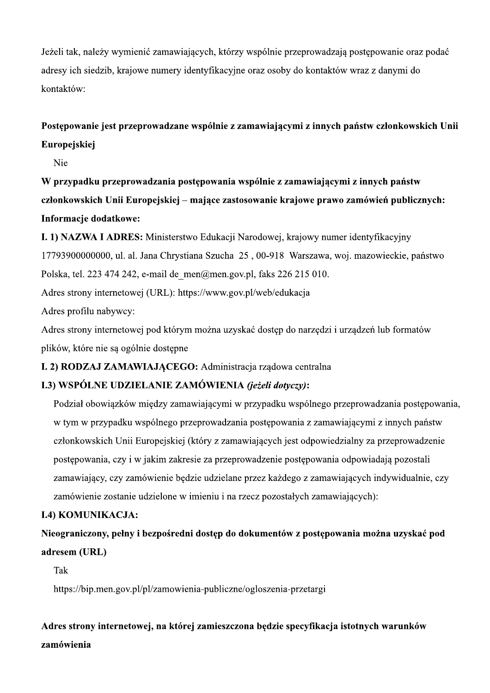Jeżeli tak, należy wymienić zamawiających, którzy wspólnie przeprowadzają postępowanie oraz podać adresy ich siedzib, krajowe numery identyfikacyjne oraz osoby do kontaktów wraz z danymi do kontaktów:

### Postępowanie jest przeprowadzane wspólnie z zamawiającymi z innych państw członkowskich Unii Europejskiej

Nie

W przypadku przeprowadzania postępowania wspólnie z zamawiającymi z innych państw członkowskich Unii Europejskiej – mające zastosowanie krajowe prawo zamówień publicznych: Informacje dodatkowe:

I. 1) NAZWA I ADRES: Ministerstwo Edukacji Narodowej, krajowy numer identyfikacyjny

17793900000000, ul. al. Jana Chrystiana Szucha 25, 00-918 Warszawa, woj. mazowieckie, państwo Polska, tel. 223 474 242, e-mail de men@men.gov.pl, faks 226 215 010.

Adres strony internetowej (URL): https://www.gov.pl/web/edukacja

Adres profilu nabywcy:

Adres strony internetowej pod którym można uzyskać dostep do narzedzi i urzadzeń lub formatów plików, które nie są ogólnie dostępne

### I. 2) RODZAJ ZAMAWIAJACEGO: Administracia rzadowa centralna

### I.3) WSPÓLNE UDZIELANIE ZAMÓWIENIA (jeżeli dotyczy):

Podział obowiązków między zamawiającymi w przypadku wspólnego przeprowadzania postępowania, w tym w przypadku wspólnego przeprowadzania postępowania z zamawiającymi z innych państw członkowskich Unii Europejskiej (który z zamawiających jest odpowiedzialny za przeprowadzenie postępowania, czy i w jakim zakresie za przeprowadzenie postępowania odpowiadają pozostali zamawiający, czy zamówienie będzie udzielane przez każdego z zamawiających indywidualnie, czy zamówienie zostanie udzielone w imieniu i na rzecz pozostałych zamawiających):

### **I.4) KOMUNIKACJA:**

Nieograniczony, pełny i bezpośredni dostęp do dokumentów z postępowania można uzyskać pod adresem (URL)

Tak

https://bip.men.gov.pl/pl/zamowienia-publiczne/ogloszenia-przetargi

### Adres strony internetowei, na którei zamieszczona bedzie specyfikacia istotnych warunków zamówienia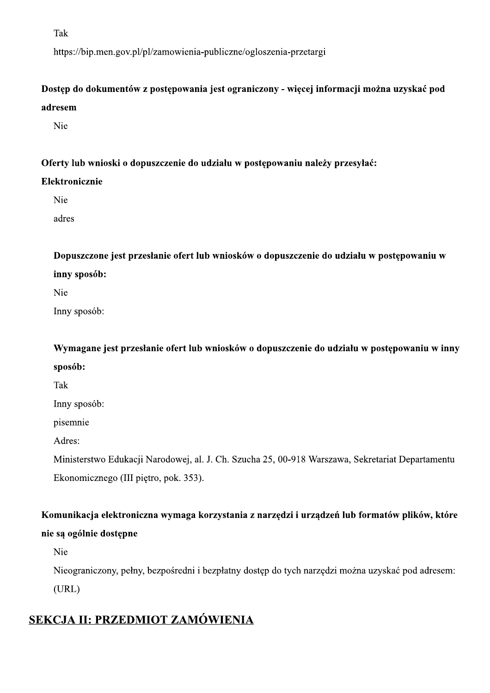Tak

https://bip.men.gov.pl/pl/zamowienia-publiczne/ogloszenia-przetargi

### Dostęp do dokumentów z postępowania jest ograniczony - więcej informacji można uzyskać pod adresem

Nie

#### Oferty lub wnioski o dopuszczenie do udziału w postępowaniu należy przesyłać:

#### Elektronicznie

Nie

adres

Dopuszczone jest przesłanie ofert lub wniosków o dopuszczenie do udziału w postępowaniu w inny sposób:

Nie

Inny sposób:

Wymagane jest przesłanie ofert lub wniosków o dopuszczenie do udziału w postępowaniu w inny sposób:

Tak

Inny sposób:

pisemnie

Adres:

Ministerstwo Edukacji Narodowej, al. J. Ch. Szucha 25, 00-918 Warszawa, Sekretariat Departamentu Ekonomicznego (III piętro, pok. 353).

### Komunikacja elektroniczna wymaga korzystania z narzędzi i urządzeń lub formatów plików, które nie są ogólnie dostępne

Nie

Nieograniczony, pełny, bezpośredni i bezpłatny dostęp do tych narzędzi można uzyskać pod adresem:

 $(URL)$ 

### SEKCJA II: PRZEDMIOT ZAMÓWIENIA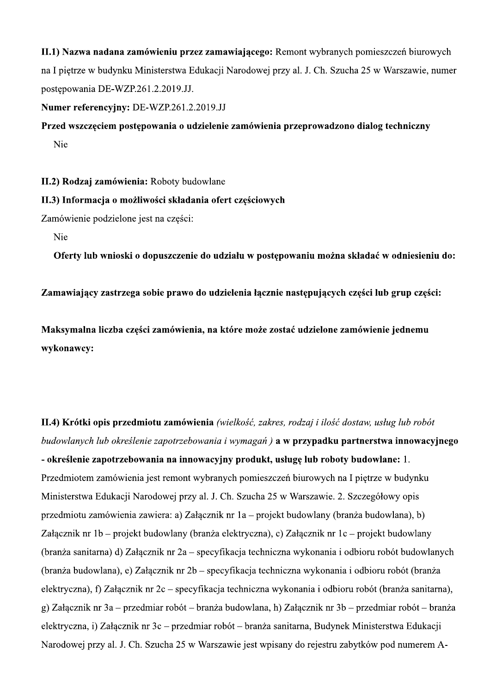II.1) Nazwa nadana zamówieniu przez zamawiającego: Remont wybranych pomieszczeń biurowych na I piętrze w budynku Ministerstwa Edukacji Narodowej przy al. J. Ch. Szucha 25 w Warszawie, numer postepowania DE-WZP.261.2.2019.JJ.

#### Numer referencyjny: DE-WZP.261.2.2019.JJ

### Przed wszczęciem postępowania o udzielenie zamówienia przeprowadzono dialog techniczny Nie

II.2) Rodzaj zamówienia: Roboty budowlane

#### II.3) Informacja o możliwości składania ofert częściowych

Zamówienie podzielone jest na części:

**Nie** 

Oferty lub wnioski o dopuszczenie do udziału w postępowaniu można składać w odniesieniu do:

Zamawiający zastrzega sobie prawo do udzielenia łącznie następujących części lub grup części:

Maksymalna liczba cześci zamówienia, na które może zostać udzielone zamówienie jednemu wykonawcy:

II.4) Krótki opis przedmiotu zamówienia (wielkość, zakres, rodzaj i ilość dostaw, usług lub robót budowlanych lub określenie zapotrzebowania i wymagań) a w przypadku partnerstwa innowacyjnego - określenie zapotrzebowania na innowacyjny produkt, usługę lub roboty budowlane: 1. Przedmiotem zamówienia jest remont wybranych pomieszczeń biurowych na I piętrze w budynku Ministerstwa Edukacji Narodowej przy al. J. Ch. Szucha 25 w Warszawie. 2. Szczegółowy opis przedmiotu zamówienia zawiera: a) Załącznik nr 1a – projekt budowlany (branża budowlana), b) Załącznik nr 1b – projekt budowlany (branża elektryczna), c) Załącznik nr 1c – projekt budowlany (branża sanitarna) d) Załącznik nr 2a – specyfikacja techniczna wykonania i odbioru robót budowlanych (branża budowlana), e) Załącznik nr 2b – specyfikacja techniczna wykonania i odbioru robót (branża elektryczna), f) Załącznik nr 2c – specyfikacja techniczna wykonania i odbioru robót (branża sanitarna), g) Załącznik nr 3a – przedmiar robót – branża budowlana, h) Załącznik nr 3b – przedmiar robót – branża elektryczna, i) Załącznik nr 3c – przedmiar robót – branża sanitarna, Budynek Ministerstwa Edukacji Narodowej przy al. J. Ch. Szucha 25 w Warszawie jest wpisany do rejestru zabytków pod numerem A-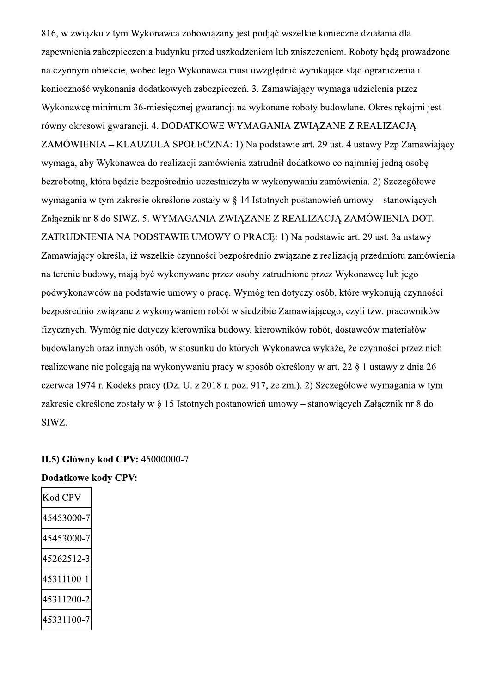816, w związku z tym Wykonawca zobowiązany jest podjąć wszelkie konieczne działania dla zapewnienia zabezpieczenia budynku przed uszkodzeniem lub zniszczeniem. Roboty będą prowadzone na czynnym obiekcie, wobec tego Wykonawca musi uwzględnić wynikające stad ograniczenia i konieczność wykonania dodatkowych zabezpieczeń. 3. Zamawiający wymaga udzielenia przez Wykonawce minimum 36-miesiecznej gwarancji na wykonane roboty budowlane. Okres rekojmi jest równy okresowi gwarancji. 4. DODATKOWE WYMAGANIA ZWIAZANE Z REALIZACJA ZAMÓWIENIA – KLAUZULA SPOŁECZNA: 1) Na podstawie art. 29 ust. 4 ustawy Pzp Zamawiający wymaga, aby Wykonawca do realizacji zamówienia zatrudnił dodatkowo co najmniej jedna osobe bezrobotna, która bedzie bezpośrednio uczestniczyła w wykonywaniu zamówienia. 2) Szczegółowe wymagania w tym zakresie określone zostały w  $\S$  14 Istotnych postanowień umowy – stanowiących Załącznik nr 8 do SIWZ. 5. WYMAGANIA ZWIĄZANE Z REALIZACJĄ ZAMÓWIENIA DOT. ZATRUDNIENIA NA PODSTAWIE UMOWY O PRACE: 1) Na podstawie art. 29 ust. 3a ustawy Zamawiający określa, iż wszelkie czynności bezpośrednio związane z realizacją przedmiotu zamówienia na terenie budowy, mają być wykonywane przez osoby zatrudnione przez Wykonawcę lub jego podwykonawców na podstawie umowy o pracę. Wymóg ten dotyczy osób, które wykonują czynności bezpośrednio zwiazane z wykonywaniem robót w siedzibie Zamawiającego, czyli tzw. pracowników fizycznych. Wymóg nie dotyczy kierownika budowy, kierowników robót, dostawców materiałów budowlanych oraz innych osób, w stosunku do których Wykonawca wykaże, że czynności przez nich realizowane nie polegają na wykonywaniu pracy w sposób określony w art. 22 § 1 ustawy z dnia 26 czerwca 1974 r. Kodeks pracy (Dz. U. z 2018 r. poz. 917, ze zm.). 2) Szczegółowe wymagania w tym zakresie określone zostały w § 15 Istotnych postanowień umowy – stanowiących Załacznik nr 8 do SIWZ.

#### II.5) Główny kod CPV: 45000000-7

**Dodatkowe kody CPV:** 

| Kod CP     |  |
|------------|--|
| 45453000-7 |  |
| 45453000-7 |  |
| 45262512-3 |  |
| 45311100-1 |  |
| 45311200-2 |  |
| 15331100-7 |  |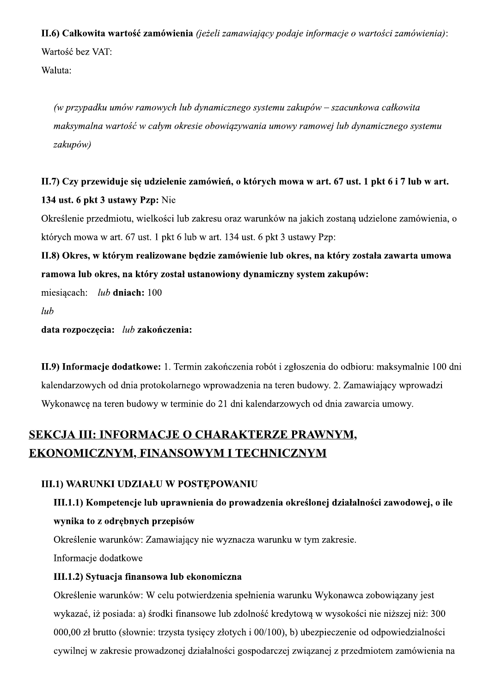II.6) Całkowita wartość zamówienia (jeżeli zamawiający podaje informacje o wartości zamówienia): Wartość bez VAT:

Waluta:

(w przypadku umów ramowych lub dynamicznego systemu zakupów – szacunkowa całkowita maksymalna wartość w całym okresie obowiązywania umowy ramowej lub dynamicznego systemu zakupów)

### II.7) Czy przewiduje się udzielenie zamówień, o których mowa w art. 67 ust. 1 pkt 6 i 7 lub w art. 134 ust. 6 pkt 3 ustawy Pzp: Nie

Określenie przedmiotu, wielkości lub zakresu oraz warunków na jakich zostaną udzielone zamówienia, o których mowa w art. 67 ust. 1 pkt 6 lub w art. 134 ust. 6 pkt 3 ustawy Pzp:

II.8) Okres, w którym realizowane będzie zamówienie lub okres, na który została zawarta umowa ramowa lub okres, na który został ustanowiony dynamiczny system zakupów:

miesiącach: lub dniach: 100

 $lub$ 

data rozpoczęcia: lub zakończenia:

II.9) Informacje dodatkowe: 1. Termin zakończenia robót i zgłoszenia do odbioru: maksymalnie 100 dni kalendarzowych od dnia protokolarnego wprowadzenia na teren budowy. 2. Zamawiający wprowadzi Wykonawcę na teren budowy w terminie do 21 dni kalendarzowych od dnia zawarcia umowy.

### SEKCJA III: INFORMACJE O CHARAKTERZE PRAWNYM, **EKONOMICZNYM, FINANSOWYM I TECHNICZNYM**

### **III.1) WARUNKI UDZIAŁU W POSTĘPOWANIU**

### III.1.1) Kompetencje lub uprawnienia do prowadzenia określonej działalności zawodowej, o ile wynika to z odrębnych przepisów

Określenie warunków: Zamawiający nie wyznacza warunku w tym zakresie.

Informacje dodatkowe

### III.1.2) Sytuacja finansowa lub ekonomiczna

Określenie warunków: W celu potwierdzenia spełnienia warunku Wykonawca zobowiązany jest wykazać, iż posiada: a) środki finansowe lub zdolność kredytową w wysokości nie niższej niż: 300 000,00 zł brutto (słownie: trzysta tysięcy złotych i 00/100), b) ubezpieczenie od odpowiedzialności cywilnej w zakresie prowadzonej działalności gospodarczej związanej z przedmiotem zamówienia na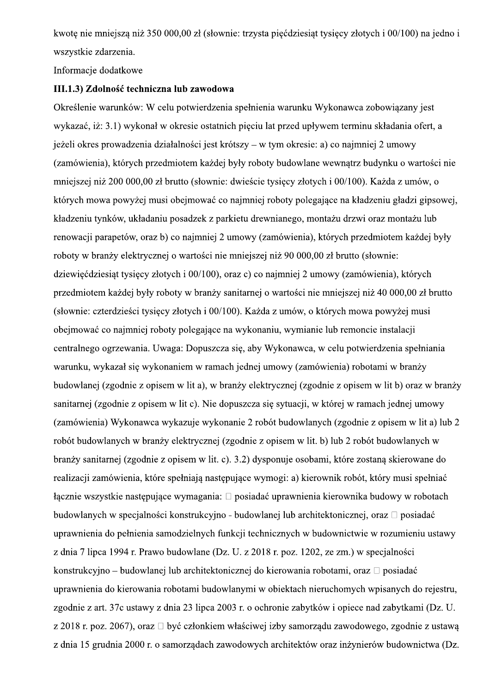kwotę nie mniejszą niż 350 000,00 zł (słownie: trzysta piećdziesiat tysięcy złotych i 00/100) na jedno i wszystkie zdarzenia.

Informacje dodatkowe

#### III.1.3) Zdolność techniczna lub zawodowa

Określenie warunków: W celu potwierdzenia spełnienia warunku Wykonawca zobowiązany jest wykazać, iż: 3.1) wykonał w okresie ostatnich pięciu lat przed upływem terminu składania ofert, a jeżeli okres prowadzenia działalności jest krótszy – w tym okresie: a) co najmniej 2 umowy (zamówienia), których przedmiotem każdej były roboty budowlane wewnątrz budynku o wartości nie mniejszej niż 200 000,00 zł brutto (słownie: dwieście tysięcy złotych i 00/100). Każda z umów, o których mowa powyżej musi obejmować co najmniej roboty polegające na kładzeniu gładzi gipsowej, kładzeniu tynków, układaniu posadzek z parkietu drewnianego, montażu drzwi oraz montażu lub renowacji parapetów, oraz b) co najmniej 2 umowy (zamówienia), których przedmiotem każdej były roboty w branży elektrycznej o wartości nie mniejszej niż 90 000,00 zł brutto (słownie: dziewięćdziesiąt tysięcy złotych i 00/100), oraz c) co najmniej 2 umowy (zamówienia), których przedmiotem każdej były roboty w branży sanitarnej o wartości nie mniejszej niż 40 000,00 zł brutto (słownie: czterdzieści tysięcy złotych i 00/100). Każda z umów, o których mowa powyżej musi obejmować co najmniej roboty polegające na wykonaniu, wymianie lub remoncie instalacji centralnego ogrzewania. Uwaga: Dopuszcza się, aby Wykonawca, w celu potwierdzenia spełniania warunku, wykazał się wykonaniem w ramach jednej umowy (zamówienia) robotami w branży budowlanej (zgodnie z opisem w lit a), w branży elektrycznej (zgodnie z opisem w lit b) oraz w branży sanitarnej (zgodnie z opisem w lit c). Nie dopuszcza się sytuacji, w której w ramach jednej umowy (zamówienia) Wykonawca wykazuje wykonanie 2 robót budowlanych (zgodnie z opisem w lit a) lub 2 robót budowlanych w branży elektrycznej (zgodnie z opisem w lit. b) lub 2 robót budowlanych w branży sanitarnej (zgodnie z opisem w lit. c). 3.2) dysponuje osobami, które zostaną skierowane do realizacji zamówienia, które spełniają następujące wymogi: a) kierownik robót, który musi spełniać łącznie wszystkie następujące wymagania: □ posiadać uprawnienia kierownika budowy w robotach budowlanych w specjalności konstrukcyjno - budowlanej lub architektonicznej, oraz □ posiadać uprawnienia do pełnienia samodzielnych funkcji technicznych w budownictwie w rozumieniu ustawy z dnia 7 lipca 1994 r. Prawo budowlane (Dz. U. z 2018 r. poz. 1202, ze zm.) w specjalności konstrukcyjno – budowlanej lub architektonicznej do kierowania robotami, oraz □ posiadać uprawnienia do kierowania robotami budowlanymi w obiektach nieruchomych wpisanych do rejestru, zgodnie z art. 37c ustawy z dnia 23 lipca 2003 r. o ochronie zabytków i opiece nad zabytkami (Dz. U. z 2018 r. poz. 2067), oraz □ być członkiem właściwej izby samorządu zawodowego, zgodnie z ustawą z dnia 15 grudnia 2000 r. o samorządach zawodowych architektów oraz inżynierów budownictwa (Dz.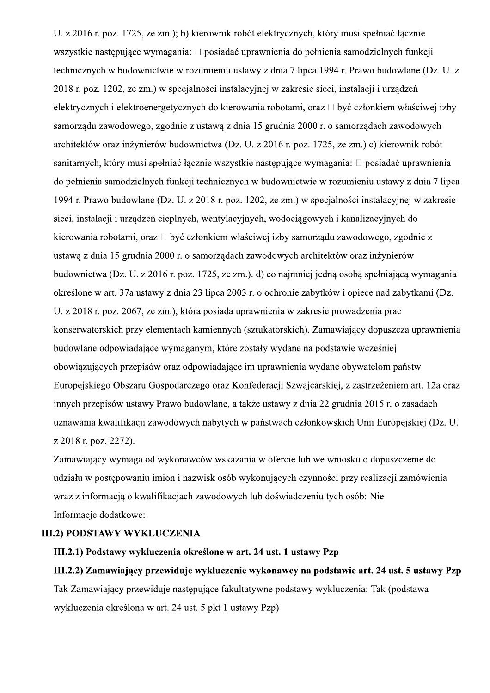U. z 2016 r. poz. 1725, ze zm.); b) kierownik robót elektrycznych, który musi spełniać łacznie wszystkie następujące wymagania: □ posiadać uprawnienia do pełnienia samodzielnych funkcji technicznych w budownictwie w rozumieniu ustawy z dnia 7 lipca 1994 r. Prawo budowlane (Dz. U. z 2018 r. poz. 1202, ze zm.) w specjalności instalacyjnej w zakresie sieci, instalacji i urządzeń elektrycznych i elektroenergetycznych do kierowania robotami, oraz □ być członkiem właściwej izby samorządu zawodowego, zgodnie z ustawą z dnia 15 grudnia 2000 r. o samorządach zawodowych architektów oraz inżynierów budownictwa (Dz. U. z 2016 r. poz. 1725, ze zm.) c) kierownik robót sanitarnych, który musi spełniać łącznie wszystkie następujące wymagania: □ posiadać uprawnienia do pełnienia samodzielnych funkcji technicznych w budownictwie w rozumieniu ustawy z dnia 7 lipca 1994 r. Prawo budowlane (Dz. U. z 2018 r. poz. 1202, ze zm.) w specjalności instalacyjnej w zakresie sieci, instalacji i urządzeń cieplnych, wentylacyjnych, wodociągowych i kanalizacyjnych do kierowania robotami, oraz □ być członkiem właściwej izby samorządu zawodowego, zgodnie z ustawą z dnia 15 grudnia 2000 r. o samorządach zawodowych architektów oraz inżynierów budownictwa (Dz. U. z 2016 r. poz. 1725, ze zm.). d) co najmniej jedną osobą spełniającą wymagania określone w art. 37a ustawy z dnia 23 lipca 2003 r. o ochronie zabytków i opiece nad zabytkami (Dz. U. z 2018 r. poz. 2067, ze zm.), która posiada uprawnienia w zakresie prowadzenia prac konserwatorskich przy elementach kamiennych (sztukatorskich). Zamawiający dopuszcza uprawnienia budowlane odpowiadające wymaganym, które zostały wydane na podstawie wcześniej obowiazujących przepisów oraz odpowiadające im uprawnienia wydane obywatelom państw Europejskiego Obszaru Gospodarczego oraz Konfederacji Szwajcarskiej, z zastrzeżeniem art. 12a oraz innych przepisów ustawy Prawo budowlane, a także ustawy z dnia 22 grudnia 2015 r. o zasadach uznawania kwalifikacji zawodowych nabytych w państwach członkowskich Unii Europejskiej (Dz. U. z 2018 r. poz. 2272).

Zamawiający wymaga od wykonawców wskazania w ofercie lub we wniosku o dopuszczenie do udziału w postępowaniu imion i nazwisk osób wykonujących czynności przy realizacji zamówienia wraz z informacją o kwalifikacjach zawodowych lub doświadczeniu tych osób: Nie Informacje dodatkowe:

#### **III.2) PODSTAWY WYKLUCZENIA**

#### III.2.1) Podstawy wykluczenia określone w art. 24 ust. 1 ustawy Pzp

### III.2.2) Zamawiający przewiduje wykluczenie wykonawcy na podstawie art. 24 ust. 5 ustawy Pzp Tak Zamawiający przewiduje następujące fakultatywne podstawy wykluczenia: Tak (podstawa wykluczenia określona w art. 24 ust. 5 pkt 1 ustawy Pzp)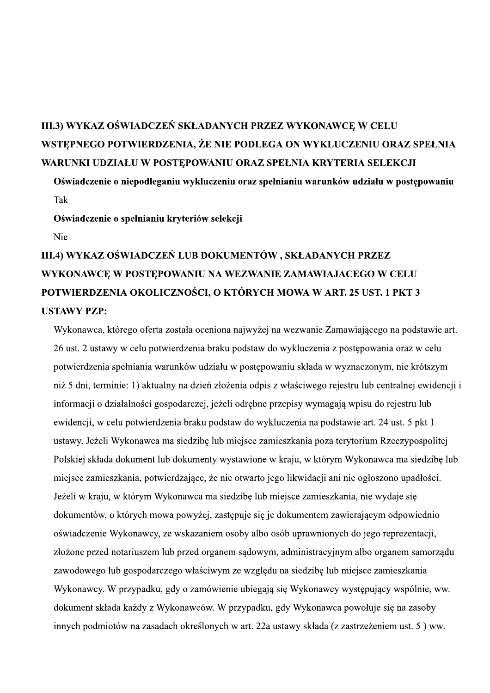### III.3) WYKAZ OŚWIADCZEŃ SKŁADANYCH PRZEZ WYKONAWCE W CELU WSTEPNEGO POTWIERDZENIA, ŻE NIE PODLEGA ON WYKLUCZENIU ORAZ SPEŁNIA WARUNKI UDZIAŁU W POSTĘPOWANIU ORAZ SPEŁNIA KRYTERIA SELEKCJI

Oświadczenie o niepodleganiu wykluczeniu oraz spełnianiu warunków udziału w postępowaniu Tak

Oświadczenie o spełnianiu kryteriów selekcji

Nie

### III.4) WYKAZ OŚWIADCZEŃ LUB DOKUMENTÓW, SKŁADANYCH PRZEZ WYKONAWCE W POSTEPOWANIU NA WEZWANIE ZAMAWIAJACEGO W CELU POTWIERDZENIA OKOLICZNOŚCI, O KTÓRYCH MOWA W ART. 25 UST. 1 PKT 3 **USTAWY PZP:**

Wykonawca, którego oferta została oceniona najwyżej na wezwanie Zamawiającego na podstawie art. 26 ust. 2 ustawy w celu potwierdzenia braku podstaw do wykluczenia z postępowania oraz w celu potwierdzenia spełniania warunków udziału w postępowaniu składa w wyznaczonym, nie krótszym niż 5 dni, terminie: 1) aktualny na dzień złożenia odpis z właściwego rejestru lub centralnej ewidencji i informacji o działalności gospodarczej, jeżeli odrębne przepisy wymagają wpisu do rejestru lub ewidencji, w celu potwierdzenia braku podstaw do wykluczenia na podstawie art. 24 ust. 5 pkt 1 ustawy. Jeżeli Wykonawca ma siedzibę lub miejsce zamieszkania poza terytorium Rzeczypospolitej Polskiej składa dokument lub dokumenty wystawione w kraju, w którym Wykonawca ma siedzibę lub miejsce zamieszkania, potwierdzające, że nie otwarto jego likwidacji ani nie ogłoszono upadłości. Jeżeli w kraju, w którym Wykonawca ma siedzibę lub miejsce zamieszkania, nie wydaje się dokumentów, o których mowa powyżej, zastępuje się je dokumentem zawierającym odpowiednio oświadczenie Wykonawcy, ze wskazaniem osoby albo osób uprawnionych do jego reprezentacji, złożone przed notariuszem lub przed organem sądowym, administracyjnym albo organem samorządu zawodowego lub gospodarczego właściwym ze względu na siedzibę lub miejsce zamieszkania Wykonawcy. W przypadku, gdy o zamówienie ubiegają się Wykonawcy występujący wspólnie, ww. dokument składa każdy z Wykonawców. W przypadku, gdy Wykonawca powołuje się na zasoby innych podmiotów na zasadach określonych w art. 22a ustawy składa (z zastrzeżeniem ust. 5) ww.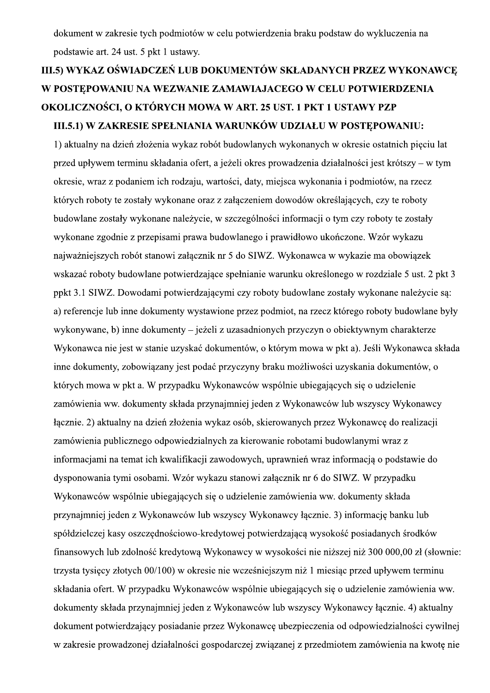dokument w zakresie tych podmiotów w celu potwierdzenia braku podstaw do wykluczenia na podstawie art. 24 ust. 5 pkt 1 ustawy.

## III.5) WYKAZ OŚWIADCZEŃ LUB DOKUMENTÓW SKŁADANYCH PRZEZ WYKONAWCE W POSTEPOWANIU NA WEZWANIE ZAMAWIAJACEGO W CELU POTWIERDZENIA OKOLICZNOŚCI, O KTÓRYCH MOWA W ART. 25 UST. 1 PKT 1 USTAWY PZP III.5.1) W ZAKRESIE SPEŁNIANIA WARUNKÓW UDZIAŁU W POSTEPOWANIU:

1) aktualny na dzień złożenia wykaz robót budowlanych wykonanych w okresie ostatnich pięciu lat przed upływem terminu składania ofert, a jeżeli okres prowadzenia działalności jest krótszy – w tym okresie, wraz z podaniem ich rodzaju, wartości, daty, miejsca wykonania i podmiotów, na rzecz których roboty te zostały wykonane oraz z załączeniem dowodów określających, czy te roboty budowlane zostały wykonane należycie, w szczególności informacji o tym czy roboty te zostały wykonane zgodnie z przepisami prawa budowlanego i prawidłowo ukończone. Wzór wykazu najważniejszych robót stanowi załącznik nr 5 do SIWZ. Wykonawca w wykazie ma obowiązek wskazać roboty budowlane potwierdzające spełnianie warunku określonego w rozdziale 5 ust. 2 pkt 3 ppkt 3.1 SIWZ. Dowodami potwierdzającymi czy roboty budowlane zostały wykonane należycie są: a) referencie lub inne dokumenty wystawione przez podmiot, na rzecz którego roboty budowlane były wykonywane, b) inne dokumenty – jeżeli z uzasadnionych przyczyn o obiektywnym charakterze Wykonawca nie jest w stanie uzyskać dokumentów, o którym mowa w pkt a). Jeśli Wykonawca składa inne dokumenty, zobowiazany jest podać przyczyny braku możliwości uzyskania dokumentów, o których mowa w pkt a. W przypadku Wykonawców wspólnie ubiegających się o udzielenie zamówienia ww. dokumenty składa przynajmniej jeden z Wykonawców lub wszyscy Wykonawcy łącznie. 2) aktualny na dzień złożenia wykaz osób, skierowanych przez Wykonawcę do realizacji zamówienia publicznego odpowiedzialnych za kierowanie robotami budowlanymi wraz z informacjami na temat ich kwalifikacji zawodowych, uprawnień wraz informacją o podstawie do dysponowania tymi osobami. Wzór wykazu stanowi załącznik nr 6 do SIWZ. W przypadku Wykonawców wspólnie ubiegających się o udzielenie zamówienia ww. dokumenty składa przynajmniej jeden z Wykonawców lub wszyscy Wykonawcy łącznie. 3) informację banku lub spółdzielczej kasy oszczędnościowo-kredytowej potwierdzającą wysokość posiadanych środków finansowych lub zdolność kredytową Wykonawcy w wysokości nie niższej niż 300 000,00 zł (słownie: trzysta tysięcy złotych 00/100) w okresie nie wcześniejszym niż 1 miesiąc przed upływem terminu składania ofert. W przypadku Wykonawców wspólnie ubiegających się o udzielenie zamówienia ww. dokumenty składa przynajmniej jeden z Wykonawców lub wszyscy Wykonawcy łącznie. 4) aktualny dokument potwierdzający posiadanie przez Wykonawcę ubezpieczenia od odpowiedzialności cywilnej w zakresie prowadzonej działalności gospodarczej związanej z przedmiotem zamówienia na kwotę nie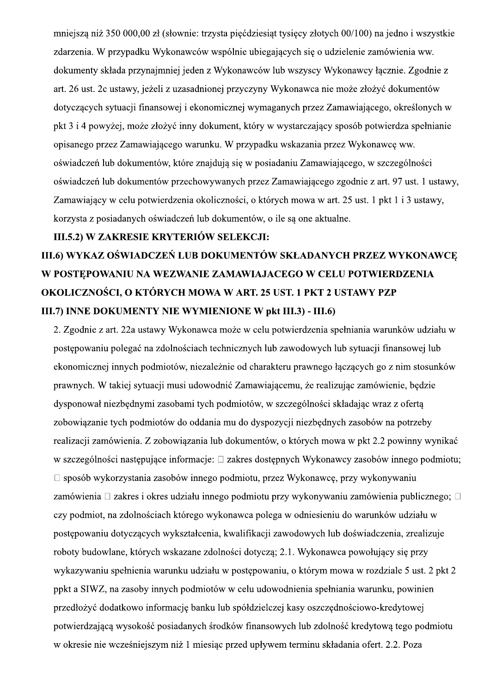mniejszą niż 350 000,00 zł (słownie: trzysta piećdziesiat tysięcy złotych 00/100) na jedno i wszystkie zdarzenia. W przypadku Wykonawców wspólnie ubiegających się o udzielenie zamówienia ww. dokumenty składa przynajmniej jeden z Wykonawców lub wszyscy Wykonawcy łacznie. Zgodnie z art. 26 ust. 2c ustawy, jeżeli z uzasadnionej przyczyny Wykonawca nie może złożyć dokumentów dotyczących sytuacji finansowej i ekonomicznej wymaganych przez Zamawiającego, określonych w pkt 3 i 4 powyżej, może złożyć inny dokument, który w wystarczający sposób potwierdza spełnianie opisanego przez Zamawiającego warunku. W przypadku wskazania przez Wykonawcę ww. oświadczeń lub dokumentów, które znajdują się w posiadaniu Zamawiającego, w szczególności oświadczeń lub dokumentów przechowywanych przez Zamawiającego zgodnie z art. 97 ust. 1 ustawy, Zamawiający w celu potwierdzenia okoliczności, o których mowa w art. 25 ust. 1 pkt 1 i 3 ustawy, korzysta z posiadanych oświadczeń lub dokumentów, o ile są one aktualne.

#### III.5.2) W ZAKRESIE KRYTERIÓW SELEKCJI:

### III.6) WYKAZ OŚWIADCZEŃ LUB DOKUMENTÓW SKŁADANYCH PRZEZ WYKONAWCE W POSTEPOWANIU NA WEZWANIE ZAMAWIAJACEGO W CELU POTWIERDZENIA OKOLICZNOŚCI, O KTÓRYCH MOWA W ART. 25 UST. 1 PKT 2 USTAWY PZP III.7) INNE DOKUMENTY NIE WYMIENIONE W pkt III.3) - III.6)

2. Zgodnie z art. 22a ustawy Wykonawca może w celu potwierdzenia spełniania warunków udziału w postępowaniu polegać na zdolnościach technicznych lub zawodowych lub sytuacji finansowej lub ekonomicznej innych podmiotów, niezależnie od charakteru prawnego łaczących go z nim stosunków prawnych. W takiej sytuacji musi udowodnić Zamawiającemu, że realizując zamówienie, bedzie dysponował niezbednymi zasobami tych podmiotów, w szczególności składając wraz z oferta zobowiązanie tych podmiotów do oddania mu do dyspozycji niezbędnych zasobów na potrzeby realizacji zamówienia. Z zobowiązania lub dokumentów, o których mowa w pkt 2.2 powinny wynikać w szczególności następujące informacje: □ zakres dostępnych Wykonawcy zasobów innego podmiotu;  $\Box$  sposób wykorzystania zasobów innego podmiotu, przez Wykonawcę, przy wykonywaniu zamówienia □ zakres i okres udziału innego podmiotu przy wykonywaniu zamówienia publicznego; □ czy podmiot, na zdolnościach którego wykonawca polega w odniesieniu do warunków udziału w postępowaniu dotyczących wykształcenia, kwalifikacji zawodowych lub doświadczenia, zrealizuje roboty budowlane, których wskazane zdolności dotyczą; 2.1. Wykonawca powołujący się przy wykazywaniu spełnienia warunku udziału w postępowaniu, o którym mowa w rozdziale 5 ust. 2 pkt 2 ppkt a SIWZ, na zasoby innych podmiotów w celu udowodnienia spełniania warunku, powinien przedłożyć dodatkowo informację banku lub spółdzielczej kasy oszczędnościowo-kredytowej potwierdzająca wysokość posiadanych środków finansowych lub zdolność kredytowa tego podmiotu w okresie nie wcześniejszym niż 1 miesiąc przed upływem terminu składania ofert. 2.2. Poza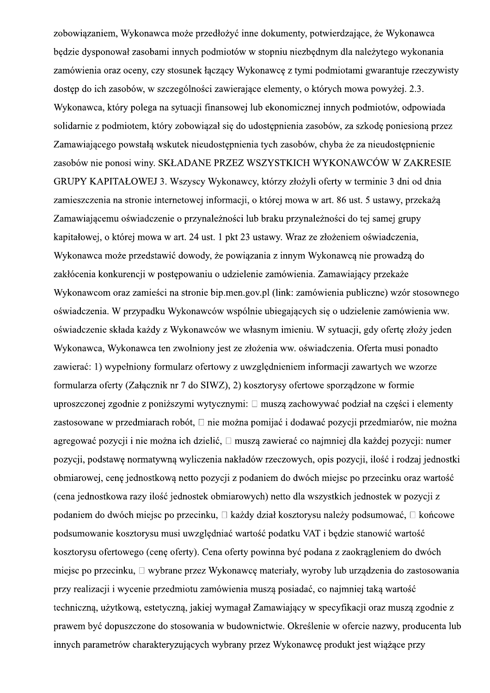zobowiązaniem, Wykonawca może przedłożyć inne dokumenty, potwierdzające, że Wykonawca bedzie dysponował zasobami innych podmiotów w stopniu niezbednym dla należytego wykonania zamówienia oraz oceny, czy stosunek łączący Wykonawcę z tymi podmiotami gwarantuje rzeczywisty dostep do ich zasobów, w szczególności zawierające elementy, o których mowa powyżej. 2.3. Wykonawca, który polega na sytuacji finansowej lub ekonomicznej innych podmiotów, odpowiada solidarnie z podmiotem, który zobowiazał się do udostępnienia zasobów, za szkode poniesiona przez Zamawiającego powstałą wskutek nieudostępnienia tych zasobów, chyba że za nieudostępnienie zasobów nie ponosi winy. SKŁADANE PRZEZ WSZYSTKICH WYKONAWCÓW W ZAKRESIE GRUPY KAPITAŁOWEJ 3. Wszyscy Wykonawcy, którzy złożyli oferty w terminie 3 dni od dnia zamieszczenia na stronie internetowej informacji, o której mowa w art. 86 ust. 5 ustawy, przekażą Zamawiającemu oświadczenie o przynależności lub braku przynależności do tej samej grupy kapitałowej, o której mowa w art. 24 ust. 1 pkt 23 ustawy. Wraz ze złożeniem oświadczenia, Wykonawca może przedstawić dowody, że powiązania z innym Wykonawcą nie prowadzą do zakłócenia konkurencji w postępowaniu o udzielenie zamówienia. Zamawiający przekaże Wykonawcom oraz zamieści na stronie bip.men.gov.pl (link: zamówienia publiczne) wzór stosownego oświadczenia. W przypadku Wykonawców wspólnie ubiegających się o udzielenie zamówienia ww. oświadczenie składa każdy z Wykonawców we własnym imieniu. W sytuacji, gdy oferte złoży jeden Wykonawca, Wykonawca ten zwolniony jest ze złożenia ww. oświadczenia. Oferta musi ponadto zawierać: 1) wypełniony formularz ofertowy z uwzglednieniem informacji zawartych we wzorze formularza oferty (Załącznik nr 7 do SIWZ), 2) kosztorysy ofertowe sporządzone w formie uproszczonej zgodnie z poniższymi wytycznymi: □ muszą zachowywać podział na części i elementy zastosowane w przedmiarach robót. □ nie można pomijać i dodawać pozycii przedmiarów, nie można agregować pozycji i nie można ich dzielić, □ muszą zawierać co najmniej dla każdej pozycji: numer pozycji, podstawę normatywną wyliczenia nakładów rzeczowych, opis pozycji, ilość i rodzaj jednostki obmiarowej, cenę jednostkową netto pozycji z podaniem do dwóch miejsc po przecinku oraz wartość (cena jednostkowa razy ilość jednostek obmiarowych) netto dla wszystkich jednostek w pozycji z podaniem do dwóch miejsc po przecinku, □ każdy dział kosztorysu należy podsumować, □ końcowe podsumowanie kosztorysu musi uwzględniać wartość podatku VAT i będzie stanowić wartość kosztorysu ofertowego (cenę oferty). Cena oferty powinna być podana z zaokrągleniem do dwóch miejsc po przecinku, □ wybrane przez Wykonawcę materiały, wyroby lub urządzenia do zastosowania przy realizacji i wycenie przedmiotu zamówienia muszą posiadać, co najmniej taką wartość techniczną, użytkową, estetyczną, jakiej wymagał Zamawiający w specyfikacji oraz muszą zgodnie z prawem być dopuszczone do stosowania w budownictwie. Określenie w ofercie nazwy, producenta lub innych parametrów charakteryzujących wybrany przez Wykonawcę produkt jest wiążące przy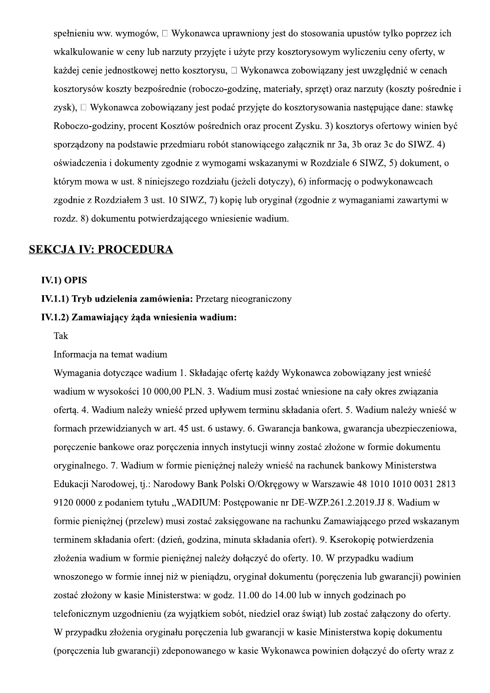spełnieniu ww. wymogów,  $\Box$  Wykonawca uprawniony jest do stosowania upustów tylko poprzez ich wkalkulowanie w ceny lub narzuty przyjęte i użyte przy kosztorysowym wyliczeniu ceny oferty, w każdej cenie jednostkowej netto kosztorysu, □ Wykonawca zobowiązany jest uwzględnić w cenach kosztorysów koszty bezpośrednie (roboczo-godzinę, materiały, sprzęt) oraz narzuty (koszty pośrednie i zysk), □ Wykonawca zobowiązany jest podać przyjęte do kosztorysowania następujące dane: stawkę Roboczo-godziny, procent Kosztów pośrednich oraz procent Zysku. 3) kosztorys ofertowy winien być sporządzony na podstawie przedmiaru robót stanowiącego załącznik nr 3a, 3b oraz 3c do SIWZ. 4) oświadczenia i dokumenty zgodnie z wymogami wskazanymi w Rozdziale 6 SIWZ, 5) dokument, o którym mowa w ust. 8 niniejszego rozdziału (jeżeli dotyczy), 6) informację o podwykonawcach zgodnie z Rozdziałem 3 ust. 10 SIWZ, 7) kopię lub oryginał (zgodnie z wymaganiami zawartymi w rozdz. 8) dokumentu potwierdzającego wniesienie wadium.

#### **SEKCJA IV: PROCEDURA**

#### **IV.1) OPIS**

#### IV.1.1) Tryb udzielenia zamówienia: Przetarg nieograniczony

#### IV.1.2) Zamawiający żąda wniesienia wadium:

#### Tak

#### Informacja na temat wadium

Wymagania dotyczące wadium 1. Składając ofertę każdy Wykonawca zobowiązany jest wnieść wadium w wysokości 10 000,00 PLN. 3. Wadium musi zostać wniesione na cały okres związania oferta. 4. Wadium należy wnieść przed upływem terminu składania ofert. 5. Wadium należy wnieść w formach przewidzianych w art. 45 ust. 6 ustawy. 6. Gwarancia bankowa, gwarancia ubezpieczeniowa, poreczenie bankowe oraz poreczenia innych instytucji winny zostać złożone w formie dokumentu oryginalnego. 7. Wadium w formie pieniężnej należy wnieść na rachunek bankowy Ministerstwa Edukacji Narodowej, tj.: Narodowy Bank Polski O/Okręgowy w Warszawie 48 1010 1010 0031 2813 9120 0000 z podaniem tytułu "WADIUM: Postępowanie nr DE-WZP.261.2.2019.JJ 8. Wadium w formie pieniężnej (przelew) musi zostać zaksięgowane na rachunku Zamawiającego przed wskazanym terminem składania ofert: (dzień, godzina, minuta składania ofert). 9. Kserokopię potwierdzenia złożenia wadium w formie pieniężnej należy dołączyć do oferty. 10. W przypadku wadium wnoszonego w formie innej niż w pieniądzu, oryginał dokumentu (poręczenia lub gwarancji) powinien zostać złożony w kasie Ministerstwa: w godz. 11.00 do 14.00 lub w innych godzinach po telefonicznym uzgodnieniu (za wyjątkiem sobót, niedziel oraz świąt) lub zostać załączony do oferty. W przypadku złożenia oryginału poręczenia lub gwarancji w kasie Ministerstwa kopię dokumentu (poręczenia lub gwarancji) zdeponowanego w kasie Wykonawca powinien dołączyć do oferty wraz z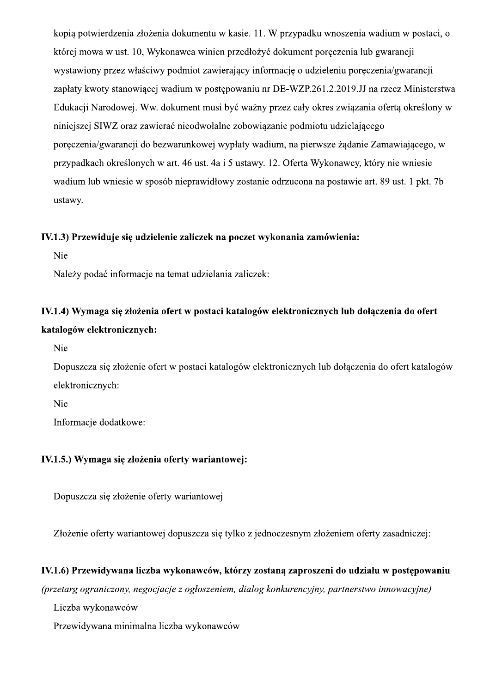kopia potwierdzenia złożenia dokumentu w kasie. 11. W przypadku wnoszenia wadium w postaci, o której mowa w ust. 10, Wykonawca winien przedłożyć dokument poreczenia lub gwarancji wystawiony przez właściwy podmiot zawierający informację o udzieleniu poręczenia/gwarancji zapłaty kwoty stanowiącej wadium w postępowaniu nr DE-WZP.261.2.2019. JJ na rzecz Ministerstwa Edukacji Narodowej. Ww. dokument musi być ważny przez cały okres związania ofertą określony w niniejszej SIWZ oraz zawierać nieodwołalne zobowiązanie podmiotu udzielającego poręczenia/gwarancji do bezwarunkowej wypłaty wadium, na pierwsze żądanie Zamawiającego, w przypadkach określonych w art. 46 ust. 4a i 5 ustawy. 12. Oferta Wykonawcy, który nie wniesie wadium lub wniesie w sposób nieprawidłowy zostanie odrzucona na postawie art. 89 ust. 1 pkt. 7b ustawy.

#### IV.1.3) Przewiduje się udzielenie zaliczek na poczet wykonania zamówienia:

Nie

Należy podać informacje na temat udzielania zaliczek:

### IV.1.4) Wymaga się złożenia ofert w postaci katalogów elektronicznych lub dołaczenia do ofert katalogów elektronicznych:

**Nie** 

Dopuszcza się złożenie ofert w postaci katalogów elektronicznych lub dołaczenia do ofert katalogów elektronicznych:

Nie

Informacie dodatkowe:

#### IV.1.5.) Wymaga się złożenia oferty wariantowej:

Dopuszcza się złożenie oferty wariantowej

Złożenie oferty wariantowej dopuszcza się tylko z jednoczesnym złożeniem oferty zasadniczej:

#### IV.1.6) Przewidywana liczba wykonawców, którzy zostaną zaproszeni do udziału w postępowaniu

(przetarg ograniczony, negocjącje z ogłoszeniem, dialog konkurencyjny, partnerstwo innowacyjne)

Liczba wykonawców

Przewidywana minimalna liczba wykonawców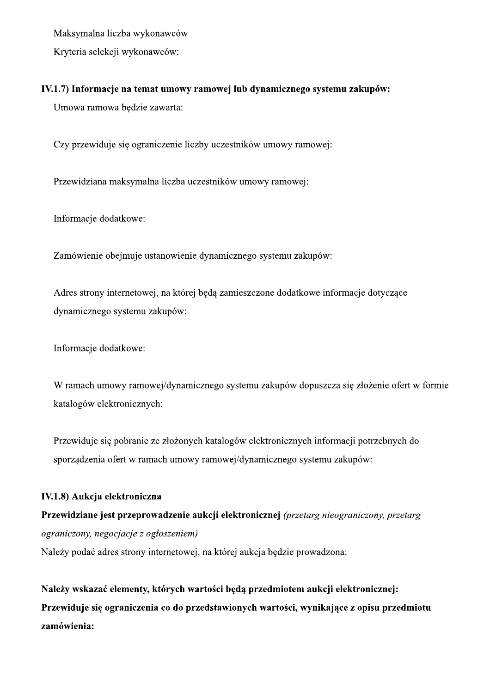Maksymalna liczba wykonawców

Kryteria selekcji wykonawców:

#### IV.1.7) Informacje na temat umowy ramowej lub dynamicznego systemu zakupów:

Umowa ramowa będzie zawarta:

Czy przewiduje się ograniczenie liczby uczestników umowy ramowej:

Przewidziana maksymalna liczba uczestników umowy ramowej:

Informacje dodatkowe:

Zamówienie obejmuje ustanowienie dynamicznego systemu zakupów:

Adres strony internetowej, na której będą zamieszczone dodatkowe informacje dotyczące dynamicznego systemu zakupów:

Informacje dodatkowe:

W ramach umowy ramowej/dynamicznego systemu zakupów dopuszcza się złożenie ofert w formie katalogów elektronicznych:

Przewiduje się pobranie ze złożonych katalogów elektronicznych informacji potrzebnych do sporządzenia ofert w ramach umowy ramowej/dynamicznego systemu zakupów:

#### IV.1.8) Aukcja elektroniczna

Przewidziane jest przeprowadzenie aukcji elektronicznej (przetarg nieograniczony, przetarg ograniczony, negocjacje z ogłoszeniem) Należy podać adres strony internetowej, na której aukcja będzie prowadzona:

Należy wskazać elementy, których wartości będą przedmiotem aukcji elektronicznej: Przewiduje się ograniczenia co do przedstawionych wartości, wynikające z opisu przedmiotu zamówienia: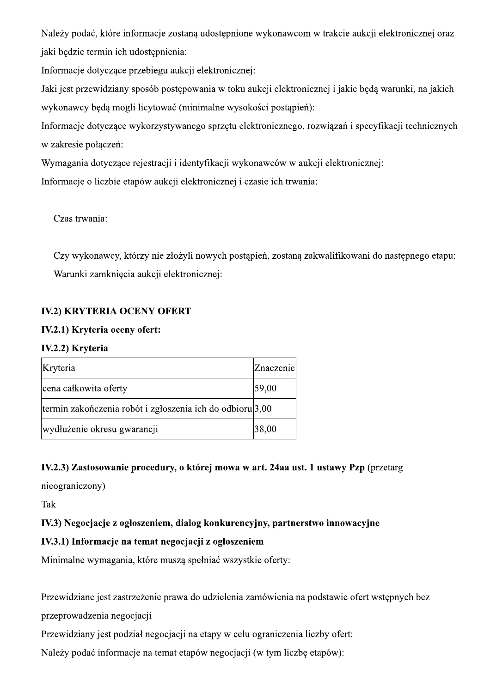Należy podać, które informacje zostana udostępnione wykonawcom w trakcie aukcji elektronicznej oraz jaki bedzie termin ich udostepnienia:

Informacje dotyczące przebiegu aukcji elektronicznej:

Jaki jest przewidziany sposób postępowania w toku aukcji elektronicznej i jakie będą warunki, na jakich wykonawcy będą mogli licytować (minimalne wysokości postąpień):

Informacje dotyczące wykorzystywanego sprzętu elektronicznego, rozwiązań i specyfikacji technicznych w zakresie połączeń:

Wymagania dotyczące rejestracji i identyfikacji wykonawców w aukcji elektronicznej:

Informacje o liczbie etapów aukcji elektronicznej i czasie ich trwania:

Czas trwania:

Czy wykonawcy, którzy nie złożyli nowych postąpień, zostaną zakwalifikowani do następnego etapu: Warunki zamknięcia aukcji elektronicznej:

#### **IV.2) KRYTERIA OCENY OFERT**

#### IV.2.1) Kryteria oceny ofert:

#### IV.2.2) Kryteria

| Kryteria                                                             | Znaczenie |
|----------------------------------------------------------------------|-----------|
| cena całkowita oferty                                                | 59,00     |
| termin zakończenia robót i zgłoszenia ich do odbioru <sup>3,00</sup> |           |
| wydłużenie okresu gwarancji                                          | 38,00     |

#### IV.2.3) Zastosowanie procedury, o której mowa w art. 24aa ust. 1 ustawy Pzp (przetarg

nieograniczony)

Tak

#### IV.3) Negocjacje z ogłoszeniem, dialog konkurencyjny, partnerstwo innowacyjne

### IV.3.1) Informacje na temat negocjacji z ogłoszeniem

Minimalne wymagania, które muszą spełniać wszystkie oferty:

Przewidziane jest zastrzeżenie prawa do udzielenia zamówienia na podstawie ofert wstępnych bez

przeprowadzenia negocjacji

Przewidziany jest podział negocjacji na etapy w celu ograniczenia liczby ofert:

Należy podać informacje na temat etapów negocjacji (w tym liczbę etapów):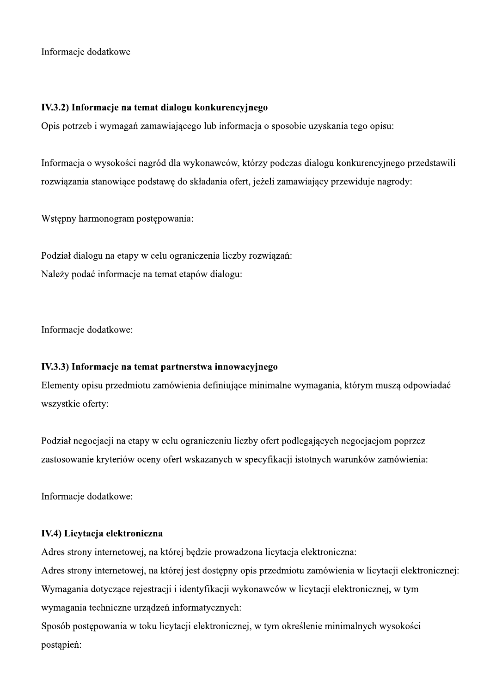Informacje dodatkowe

#### IV.3.2) Informacje na temat dialogu konkurencyjnego

Opis potrzeb i wymagań zamawiającego lub informacja o sposobie uzyskania tego opisu:

Informacja o wysokości nagród dla wykonawców, którzy podczas dialogu konkurencyjnego przedstawili rozwiązania stanowiące podstawę do składania ofert, jeżeli zamawiający przewiduje nagrody:

Wstępny harmonogram postępowania:

Podział dialogu na etapy w celu ograniczenia liczby rozwiązań: Należy podać informacje na temat etapów dialogu:

Informacje dodatkowe:

#### IV.3.3) Informacje na temat partnerstwa innowacyjnego

Elementy opisu przedmiotu zamówienia definiujące minimalne wymagania, którym muszą odpowiadać wszystkie oferty:

Podział negocjacji na etapy w celu ograniczeniu liczby ofert podlegających negocjacjom poprzez zastosowanie kryteriów oceny ofert wskazanych w specyfikacji istotnych warunków zamówienia:

Informacje dodatkowe:

#### IV.4) Licytacja elektroniczna

Adres strony internetowej, na której będzie prowadzona licytacja elektroniczna:

Adres strony internetowej, na której jest dostępny opis przedmiotu zamówienia w licytacji elektronicznej: Wymagania dotyczące rejestracji i identyfikacji wykonawców w licytacji elektronicznej, w tym wymagania techniczne urządzeń informatycznych:

Sposób postępowania w toku licytacji elektronicznej, w tym określenie minimalnych wysokości postapień: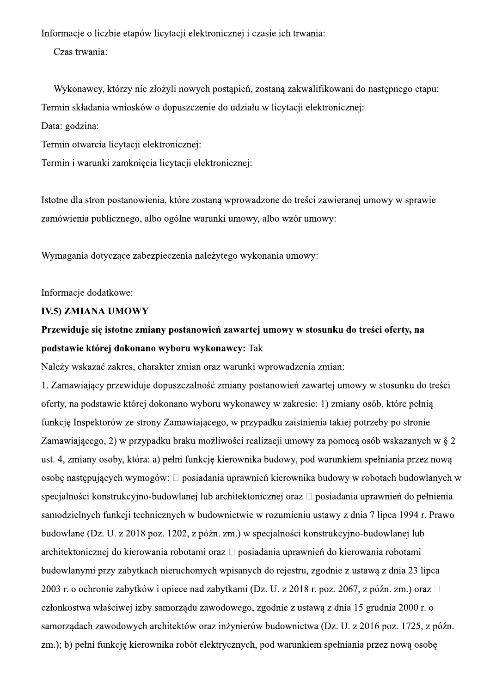Informacje o liczbie etapów licytacji elektronicznej i czasie ich trwania:

Czas trwania:

Wykonawcy, którzy nie złożyli nowych postapień, zostana zakwalifikowani do następnego etapu: Termin składania wniosków o dopuszczenie do udziału w licytacji elektronicznej:

Data: godzina:

Termin otwarcia licytacji elektronicznej:

Termin i warunki zamknięcia licytacji elektronicznej:

Istotne dla stron postanowienia, które zostaną wprowadzone do treści zawieranej umowy w sprawie zamówienia publicznego, albo ogólne warunki umowy, albo wzór umowy:

Wymagania dotyczące zabezpieczenia należytego wykonania umowy:

Informacje dodatkowe:

#### **IV.5) ZMIANA UMOWY**

### Przewiduje się istotne zmiany postanowień zawartej umowy w stosunku do treści oferty, na podstawie której dokonano wyboru wykonawcy: Tak

Należy wskazać zakres, charakter zmian oraz warunki wprowadzenia zmian:

1. Zamawiający przewiduje dopuszczalność zmiany postanowień zawartej umowy w stosunku do treści oferty, na podstawie której dokonano wyboru wykonawcy w zakresie: 1) zmiany osób, które pełnia funkcie Inspektorów ze strony Zamawiającego, w przypadku zajstnienia takiej potrzeby po stronie Zamawiającego, 2) w przypadku braku możliwości realizacji umowy za pomoca osób wskazanych w § 2 ust. 4, zmiany osoby, która: a) pełni funkcję kierownika budowy, pod warunkiem spełniania przez nową osobe następujących wymogów: □ posiadania uprawnień kierownika budowy w robotach budowlanych w specjalności konstrukcyjno-budowlanej lub architektonicznej oraz □ posiadania uprawnień do pełnienia samodzielnych funkcji technicznych w budownictwie w rozumieniu ustawy z dnia 7 lipca 1994 r. Prawo budowlane (Dz. U. z 2018 poz. 1202, z późn. zm.) w specjalności konstrukcyjno-budowlanej lub architektonicznej do kierowania robotami oraz □ posiadania uprawnień do kierowania robotami budowlanymi przy zabytkach nieruchomych wpisanych do rejestru, zgodnie z ustawą z dnia 23 lipca 2003 r. o ochronie zabytków i opiece nad zabytkami (Dz. U. z 2018 r. poz. 2067, z późn. zm.) oraz □ członkostwa właściwej izby samorządu zawodowego, zgodnie z ustawą z dnia 15 grudnia 2000 r. o samorzadach zawodowych architektów oraz inżynierów budownictwa (Dz. U. z 2016 poz. 1725, z późn. zm.); b) pełni funkcie kierownika robót elektrycznych, pod warunkiem spełniania przez nowa osobe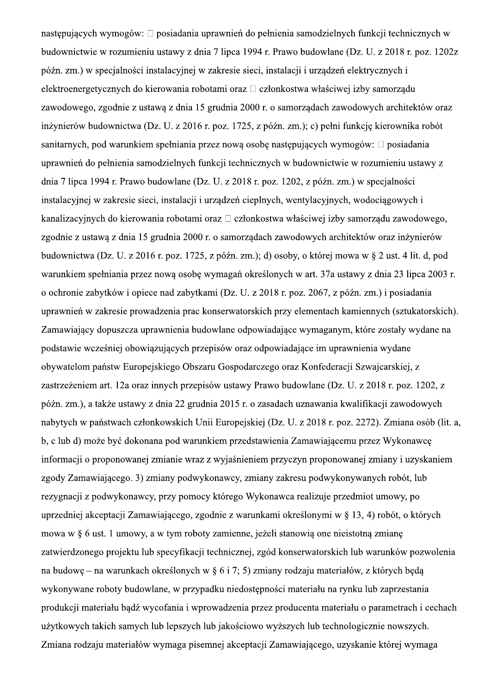następujących wymogów: □ posiadania uprawnień do pełnienia samodzielnych funkcji technicznych w budownictwie w rozumieniu ustawy z dnia 7 lipca 1994 r. Prawo budowlane (Dz. U. z 2018 r. poz. 1202z późn. zm.) w specjalności instalacyjnej w zakresie sieci, instalacji i urządzeń elektrycznych i elektroenergetycznych do kierowania robotami oraz □ członkostwa właściwej izby samorządu zawodowego, zgodnie z ustawą z dnia 15 grudnia 2000 r. o samorządach zawodowych architektów oraz inżynierów budownictwa (Dz. U. z 2016 r. poz. 1725, z późn. zm.); c) pełni funkcję kierownika robót sanitarnych, pod warunkiem spełniania przez nową osobę następujących wymogów: □ posiadania uprawnień do pełnienia samodzielnych funkcji technicznych w budownictwie w rozumieniu ustawy z dnia 7 lipca 1994 r. Prawo budowlane (Dz. U. z 2018 r. poz. 1202, z późn. zm.) w specjalności instalacyjnej w zakresie sieci, instalacji i urządzeń cieplnych, wentylacyjnych, wodociągowych i kanalizacyjnych do kierowania robotami oraz □ członkostwa właściwej izby samorządu zawodowego, zgodnie z ustawą z dnia 15 grudnia 2000 r. o samorządach zawodowych architektów oraz inżynierów budownictwa (Dz. U. z 2016 r. poz. 1725, z późn. zm.); d) osoby, o której mowa w § 2 ust. 4 lit. d, pod warunkiem spełniania przez nową osobę wymagań określonych w art. 37a ustawy z dnia 23 lipca 2003 r. o ochronie zabytków i opiece nad zabytkami (Dz. U. z 2018 r. poz. 2067, z późn. zm.) i posiadania uprawnień w zakresie prowadzenia prac konserwatorskich przy elementach kamiennych (sztukatorskich). Zamawiający dopuszcza uprawnienia budowlane odpowiadające wymaganym, które zostały wydane na podstawie wcześniej obowiązujących przepisów oraz odpowiadające im uprawnienia wydane obywatelom państw Europejskiego Obszaru Gospodarczego oraz Konfederacji Szwajcarskiej, z zastrzeżeniem art. 12a oraz innych przepisów ustawy Prawo budowlane (Dz. U. z 2018 r. poz. 1202, z późn. zm.), a także ustawy z dnia 22 grudnia 2015 r. o zasadach uznawania kwalifikacji zawodowych nabytych w państwach członkowskich Unii Europejskiej (Dz. U. z 2018 r. poz. 2272). Zmiana osób (lit. a, b, c lub d) może być dokonana pod warunkiem przedstawienia Zamawiającemu przez Wykonawce informacji o proponowanej zmianie wraz z wyjaśnieniem przyczyn proponowanej zmiany i uzyskaniem zgody Zamawiającego. 3) zmiany podwykonawcy, zmiany zakresu podwykonywanych robót, lub rezygnacji z podwykonawcy, przy pomocy którego Wykonawca realizuje przedmiot umowy, po uprzedniej akceptacji Zamawiającego, zgodnie z warunkami określonymi w § 13, 4) robót, o których mowa w § 6 ust. 1 umowy, a w tym roboty zamienne, jeżeli stanowią one nieistotną zmianę zatwierdzonego projektu lub specyfikacji technicznej, zgód konserwatorskich lub warunków pozwolenia na budowę – na warunkach określonych w § 6 i 7; 5) zmiany rodzaju materiałów, z których będą wykonywane roboty budowlane, w przypadku niedostępności materiału na rynku lub zaprzestania produkcji materiału bądź wycofania i wprowadzenia przez producenta materiału o parametrach i cechach użytkowych takich samych lub lepszych lub jakościowo wyższych lub technologicznie nowszych. Zmiana rodzaju materiałów wymaga pisemnej akceptacii Zamawiającego, uzyskanie której wymaga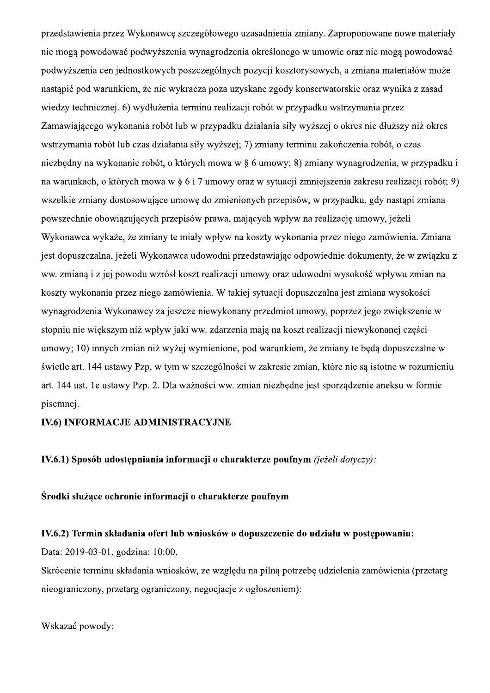przedstawienia przez Wykonawcę szczegółowego uzasadnienia zmiany. Zaproponowane nowe materiały nie mogą powodować podwyższenia wynagrodzenia określonego w umowie oraz nie mogą powodować podwyższenia cen jednostkowych poszczególnych pozycji kosztorysowych, a zmiana materiałów może nastapić pod warunkiem, że nie wykracza poza uzyskane zgody konserwatorskie oraz wynika z zasad wiedzy technicznej. 6) wydłużenia terminu realizacji robót w przypadku wstrzymania przez Zamawiającego wykonania robót lub w przypadku działania siły wyższej o okres nie dłuższy niż okres wstrzymania robót lub czas działania siły wyższej; 7) zmiany terminu zakończenia robót, o czas niezbędny na wykonanie robót, o których mowa w § 6 umowy; 8) zmiany wynagrodzenia, w przypadku i na warunkach, o których mowa w § 6 i 7 umowy oraz w sytuacji zmniejszenia zakresu realizacji robót; 9) wszelkie zmiany dostosowujące umowę do zmienionych przepisów, w przypadku, gdy nastąpi zmiana powszechnie obowiązujących przepisów prawa, mających wpływ na realizację umowy, jeżeli Wykonawca wykaże, że zmiany te miały wpływ na koszty wykonania przez niego zamówienia. Zmiana jest dopuszczalna, jeżeli Wykonawca udowodni przedstawiając odpowiednie dokumenty, że w związku z ww. zmianą i z jej powodu wzrósł koszt realizacji umowy oraz udowodni wysokość wpływu zmian na koszty wykonania przez niego zamówienia. W takiej sytuacji dopuszczalna jest zmiana wysokości wynagrodzenia Wykonawcy za jeszcze niewykonany przedmiot umowy, poprzez jego zwiekszenie w stopniu nie wiekszym niż wpływ jaki ww. zdarzenia mają na koszt realizacji niewykonanej części umowy; 10) innych zmian niż wyżej wymienione, pod warunkiem, że zmiany te będą dopuszczalne w świetle art. 144 ustawy Pzp, w tym w szczególności w zakresie zmian, które nie sa istotne w rozumieniu art. 144 ust. 1e ustawy Pzp. 2. Dla ważności ww. zmian niezbedne jest sporzadzenie aneksu w formie pisemnei.

#### **IV.6) INFORMACJE ADMINISTRACYJNE**

IV.6.1) Sposób udostępniania informacji o charakterze poufnym (jeżeli dotyczy):

Środki służące ochronie informacji o charakterze poufnym

#### IV.6.2) Termin składania ofert lub wniosków o dopuszczenie do udziału w postępowaniu:

Data: 2019-03-01, godzina: 10:00,

Skrócenie terminu składania wniosków, ze względu na pilną potrzebę udzielenia zamówienia (przetarg nieograniczony, przetarg ograniczony, negocjacje z ogłoszeniem):

Wskazać powody: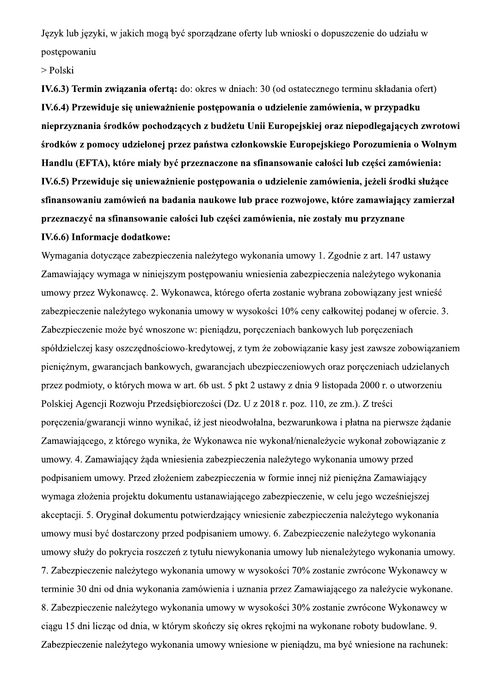Język lub języki, w jakich mogą być sporządzane oferty lub wnioski o dopuszczenie do udziału w postępowaniu

> Polski

Język lub języki, w jakich mogą być sporządzane of<br>postępowaniu<br>> Polski<br>IV.6.3) Termin związania ofertą: do: okres w dniac<br>IV.6.4) Przewiduje się unieważnienie postępowani<br>nieprzyznania środków pochodzących z budżetu<br>środ ach: 30 (od ostatecznego terminu składania IV.6.4) Przewiduje się unieważnienie postępowania o udzielenie zamówienia, w przypadku nieprzyznania środków pochodzących z budżetu Unii Europejskiej oraz niepodlegających zwrotowi > Polski<br>IV.6.3) Termin związania ofertą: do: okres w dniach: 30 (od ostatecznego terminu składania ofert)<br>IV.6.4) Przewiduje się unieważnienie postępowania o udzielenie zamówienia, w przypadku<br>nieprzyznania środków pochod

a dotyczące zabezpieczenia nalezytego wykonania umowy 1. Zgodnie z art. 147 ustawy Zamawiający wymaga w niniejszym postępowaniu wniesienia zabezpieczenia nalezytego wykonania umowy przez Wykonawcę. 2. Wykonawca, ktorego oferta zostanie wybrana zobowiązany jest wniesc zabezpieczenie nalezytego wykonania umowy w wysokosci 10% ceny całkowitej podanej w ofercie. 3. Zabezpieczenie moze byc wnoszone w: pieniądzu, poręczeniach bankowych lub poręczeniach społdzielczej kasy oszczędnosciowo-kredytowej, z tym ze zobowiązanie kasy jest zawsze zobowiązaniem pienięznym, gwarancjach bankowych, gwarancjach ubezpieczeniowych oraz poręczeniach udzielanych przez podmioty, o ktorych mowa w art. 6b ust. 5 pkt 2 ustawy z dnia 9 listopada 2000 r. o utworzeniu Polskiej Agencji Rozwoju Przedsiębiorczości (Dz. U z 2018 r. poz. 110, że zm.). Z treści poręczenia/gwarancji winno wynikac, iz jest nieodwołalna, bezwarunkowa i płatna na pierwsze ządanie Zamawiającego, z ktorego wynika, ze Wykonawca nie wykonał/nienalezycie wykonał zobowiązanie z umowy. 4. Zamawiający ząda wniesienia zabezpieczenia nalezytego wykonania umowy przed podpisaniem umowy. Przed złożeniem zabezpieczenia w formie innej niż pienięzna Zamawiający wymaga złożenia projektu dokumentu ustanawiającego zabezpieczenie, w celu jego wczesniejszej akceptacji. 5. Oryginał dokumentu potwierdzający wniesienie zabezpieczenia nalezytego wykonania umowy musi być dostarczony przed podpisaniem umowy. 6. Zabezpieczenie nalezytego wykonania umowy słuzy do pokrycia roszczeń z tytułu niewykonania umowy lub nienalezytego wykonania umowy. 7. Zabezpieczenie nalezytego wykonania umowy w wysokości 70% zostanie zwrocone Wykonawcy w terminie 30 dni od dnia wykonania zamowienia i uznania przez Zamawiającego za nalezycie wykonane. 8. Zabezpieczenie nalezytego wykonania umowy w wysokości 30% zostanie zwrocone Wykonawcy w ciągu 15 dni licząc od dnia, w którym skonczy się okres rękojmi na wykonane roboty budowlane. 9. Zabezpieczenie nalezytego wykonania umowy wniesione w pieniądzu, ma być wniesione na rachunek: